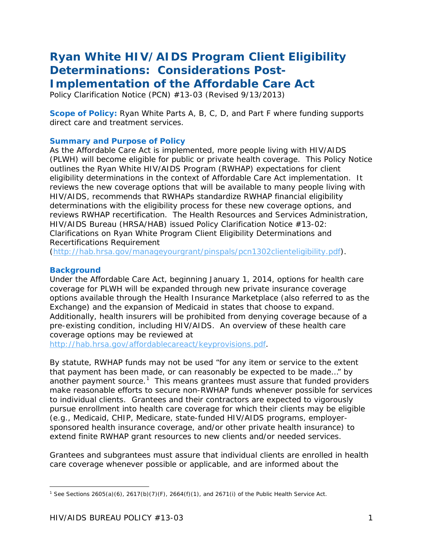# *Ryan White HIV/AIDS Program Client Eligibility Determinations: Considerations Post-*

*Implementation of the Affordable Care Act* 

Policy Clarification Notice (PCN) #13-03 (Revised 9/13/2013)

**Scope of Policy:** Ryan White Parts A, B, C, D, and Part F where funding supports direct care and treatment services.

## **Summary and Purpose of Policy**

As the Affordable Care Act is implemented, more people living with HIV/AIDS (PLWH) will become eligible for public or private health coverage. This Policy Notice outlines the Ryan White HIV/AIDS Program (RWHAP) expectations for client eligibility determinations in the context of Affordable Care Act implementation. It reviews the new coverage options that will be available to many people living with HIV/AIDS, recommends that RWHAPs standardize RWHAP financial eligibility determinations with the eligibility process for these new coverage options, and reviews RWHAP recertification. The Health Resources and Services Administration, HIV/AIDS Bureau (HRSA/HAB) issued *Policy Clarification Notice #13-02: Clarifications on Ryan White Program Client Eligibility Determinations and Recertifications Requirement*

[\(http://hab.hrsa.gov/manageyourgrant/pinspals/pcn1302clienteligibility.pdf\)](http://hab.hrsa.gov/manageyourgrant/pinspals/pcn1302clienteligibility.pdf).

# **Background**

Under the Affordable Care Act, beginning January 1, 2014, options for health care coverage for PLWH will be expanded through new private insurance coverage options available through the Health Insurance Marketplace (also referred to as the Exchange) and the expansion of Medicaid in states that choose to expand. Additionally, health insurers will be prohibited from denying coverage because of a pre-existing condition, including HIV/AIDS. An overview of these health care coverage options may be reviewed at

[http://hab.hrsa.gov/affordablecareact/keyprovisions.pdf.](http://hab.hrsa.gov/affordablecareact/keyprovisions.pdf)

By statute, RWHAP funds may not be used "for any item or service to the extent that payment has been made, or can reasonably be expected to be made…" by another payment source.<sup>[1](#page-0-0)</sup> This means grantees must assure that funded providers make reasonable efforts to secure non-RWHAP funds whenever possible for services to individual clients. Grantees and their contractors are expected to vigorously pursue enrollment into health care coverage for which their clients may be eligible (e.g., Medicaid, CHIP, Medicare, state-funded HIV/AIDS programs, employersponsored health insurance coverage, and/or other private health insurance) to extend finite RWHAP grant resources to new clients and/or needed services.

Grantees and subgrantees must assure that individual clients are enrolled in health care coverage whenever possible or applicable, and are informed about the

<span id="page-0-0"></span>l <sup>1</sup> *See* Sections 2605(a)(6), 2617(b)(7)(F), 2664(f)(1), and 2671(i) of the Public Health Service Act.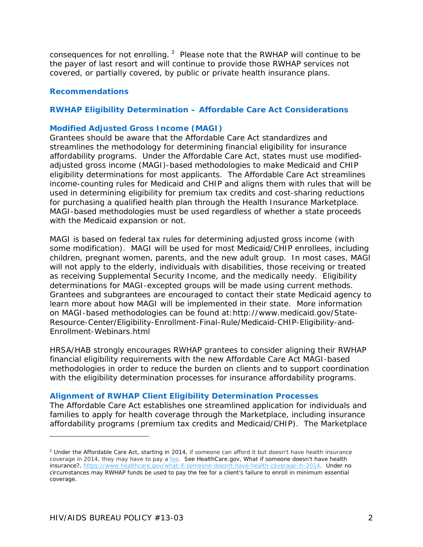consequences for not enrolling.  $2$  Please note that the RWHAP will continue to be the payer of last resort and will continue to provide those RWHAP services not covered, or partially covered, by public or private health insurance plans.

#### **Recommendations**

#### **RWHAP Eligibility Determination – Affordable Care Act Considerations**

#### *Modified Adjusted Gross Income (MAGI)*

Grantees should be aware that the Affordable Care Act standardizes and streamlines the methodology for determining financial eligibility for insurance affordability programs. Under the Affordable Care Act, states must use modifiedadjusted gross income (MAGI)-based methodologies to make Medicaid and CHIP eligibility determinations for most applicants. The Affordable Care Act streamlines income-counting rules for Medicaid and CHIP and aligns them with rules that will be used in determining eligibility for premium tax credits and cost-sharing reductions for purchasing a qualified health plan through the Health Insurance Marketplace. MAGI-based methodologies must be used regardless of whether a state proceeds with the Medicaid expansion or not.

MAGI is based on federal tax rules for determining adjusted gross income (with some modification). MAGI will be used for most Medicaid/CHIP enrollees, including children, pregnant women, parents, and the new adult group. In most cases, MAGI will not apply to the elderly, individuals with disabilities, those receiving or treated as receiving Supplemental Security Income, and the medically needy. Eligibility determinations for MAGI-excepted groups will be made using current methods. Grantees and subgrantees are encouraged to contact their state Medicaid agency to learn more about how MAGI will be implemented in their state. More information on MAGI-based methodologies can be found at:http://www.medicaid.gov/State-Resource-Center/Eligibility-Enrollment-Final-Rule/Medicaid-CHIP-Eligibility-and-Enrollment-Webinars.html

HRSA/HAB strongly encourages RWHAP grantees to consider aligning their RWHAP financial eligibility requirements with the new Affordable Care Act MAGI-based methodologies in order to reduce the burden on clients and to support coordination with the eligibility determination processes for insurance affordability programs.

#### *Alignment of RWHAP Client Eligibility Determination Processes*

The Affordable Care Act establishes one streamlined application for individuals and families to apply for health coverage through the Marketplace, including insurance affordability programs (premium tax credits and Medicaid/CHIP). The Marketplace

l

<span id="page-1-0"></span><sup>&</sup>lt;sup>2</sup> Under the Affordable Care Act, starting in 2014, if someone can afford it but doesn't have health insurance coverage in 2014, they may have to pay a [fee](https://www.healthcare.gov/glossary/fee)*. See* HealthCare.gov, What if someone doesn't have health insurance?, [https://www.healthcare.gov/what-if-someone-doesnt-have-health-coverage-in-2014.](https://www.healthcare.gov/what-if-someone-doesnt-have-health-coverage-in-2014) Under no circumstances may RWHAP funds be used to pay the fee for a client's failure to enroll in minimum essential coverage.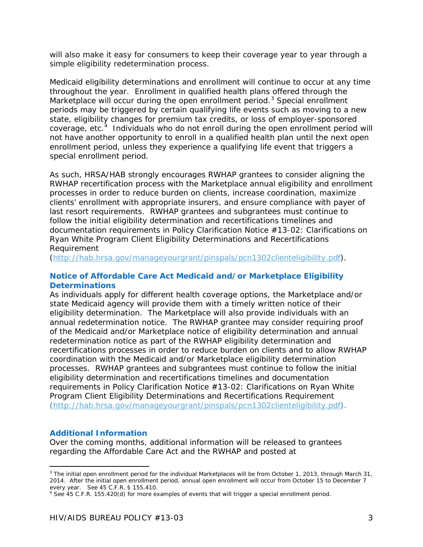will also make it easy for consumers to keep their coverage year to year through a simple eligibility redetermination process.

Medicaid eligibility determinations and enrollment will continue to occur at any time throughout the year. Enrollment in qualified health plans offered through the Marketplace will occur during the open enrollment period.<sup>[3](#page-2-0)</sup> Special enrollment periods may be triggered by certain qualifying life events such as moving to a new state, eligibility changes for premium tax credits, or loss of employer-sponsored coverage, etc.<sup>[4](#page-2-1)</sup> Individuals who do not enroll during the open enrollment period will not have another opportunity to enroll in a qualified health plan until the next open enrollment period, unless they experience a qualifying life event that triggers a special enrollment period.

As such, HRSA/HAB strongly encourages RWHAP grantees to consider aligning the RWHAP recertification process with the Marketplace annual eligibility and enrollment processes in order to reduce burden on clients, increase coordination, maximize clients' enrollment with appropriate insurers, and ensure compliance with payer of last resort requirements. RWHAP grantees and subgrantees must continue to follow the initial eligibility determination and recertifications timelines and documentation requirements in *Policy Clarification Notice #13-02: Clarifications on Ryan White Program Client Eligibility Determinations and Recertifications Requirement*

[\(http://hab.hrsa.gov/manageyourgrant/pinspals/pcn1302clienteligibility.pdf\)](http://hab.hrsa.gov/manageyourgrant/pinspals/pcn1302clienteligibility.pdf).

## *Notice of Affordable Care Act Medicaid and/or Marketplace Eligibility Determinations*

As individuals apply for different health coverage options, the Marketplace and/or state Medicaid agency will provide them with a timely written notice of their eligibility determination. The Marketplace will also provide individuals with an annual redetermination notice. The RWHAP grantee may consider requiring proof of the Medicaid and/or Marketplace notice of eligibility determination and annual redetermination notice as part of the RWHAP eligibility determination and recertifications processes in order to reduce burden on clients and to allow RWHAP coordination with the Medicaid and/or Marketplace eligibility determination processes. RWHAP grantees and subgrantees must continue to follow the initial eligibility determination and recertifications timelines and documentation requirements in *Policy Clarification Notice #13-02: Clarifications on Ryan White Program Client Eligibility Determinations and Recertifications Requirement [\(http://hab.hrsa.gov/manageyourgrant/pinspals/pcn1302clienteligibility.pdf\)](http://hab.hrsa.gov/manageyourgrant/pinspals/pcn1302clienteligibility.pdf).* 

## *Additional Information*

1

Over the coming months, additional information will be released to grantees regarding the Affordable Care Act and the RWHAP and posted at

<span id="page-2-0"></span><sup>&</sup>lt;sup>3</sup> The initial open enrollment period for the individual Marketplaces will be from October 1, 2013, through March 31, 2014. After the initial open enrollment period, annual open enrollment will occur from October 15 to December 7 every year. *See* 45 C.F.R. § 155.410.

<span id="page-2-1"></span><sup>4</sup> See 45 C.F.R. 155.420(d) for more examples of events that will trigger a special enrollment period.